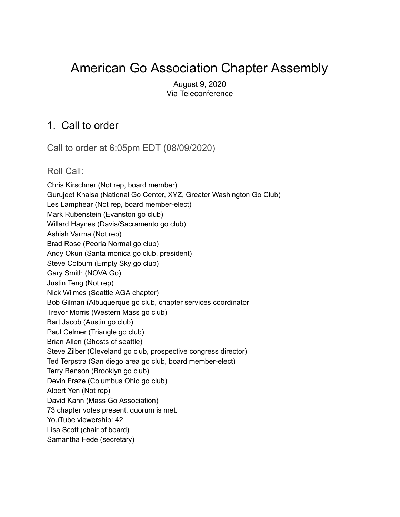# American Go Association Chapter Assembly

August 9, 2020 Via Teleconference

### 1. Call to order

Call to order at 6:05pm EDT (08/09/2020)

Roll Call:

Chris Kirschner (Not rep, board member) Gurujeet Khalsa (National Go Center, XYZ, Greater Washington Go Club) Les Lamphear (Not rep, board member-elect) Mark Rubenstein (Evanston go club) Willard Haynes (Davis/Sacramento go club) Ashish Varma (Not rep) Brad Rose (Peoria Normal go club) Andy Okun (Santa monica go club, president) Steve Colburn (Empty Sky go club) Gary Smith (NOVA Go) Justin Teng (Not rep) Nick Wilmes (Seattle AGA chapter) Bob Gilman (Albuquerque go club, chapter services coordinator Trevor Morris (Western Mass go club) Bart Jacob (Austin go club) Paul Celmer (Triangle go club) Brian Allen (Ghosts of seattle) Steve Zilber (Cleveland go club, prospective congress director) Ted Terpstra (San diego area go club, board member-elect) Terry Benson (Brooklyn go club) Devin Fraze (Columbus Ohio go club) Albert Yen (Not rep) David Kahn (Mass Go Association) 73 chapter votes present, quorum is met. YouTube viewership: 42 Lisa Scott (chair of board) Samantha Fede (secretary)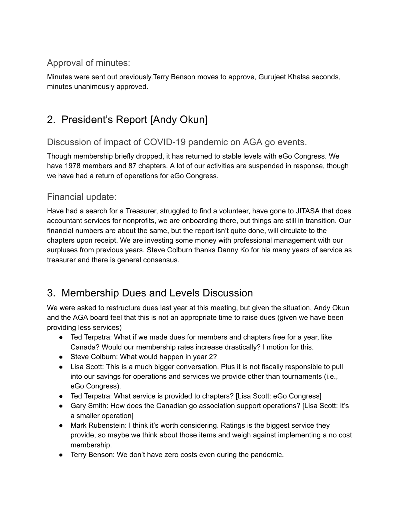### Approval of minutes:

Minutes were sent out previously.Terry Benson moves to approve, Gurujeet Khalsa seconds, minutes unanimously approved.

## 2. President's Report [Andy Okun]

### Discussion of impact of COVID-19 pandemic on AGA go events.

Though membership briefly dropped, it has returned to stable levels with eGo Congress. We have 1978 members and 87 chapters. A lot of our activities are suspended in response, though we have had a return of operations for eGo Congress.

#### Financial update:

Have had a search for a Treasurer, struggled to find a volunteer, have gone to JITASA that does accountant services for nonprofits, we are onboarding there, but things are still in transition. Our financial numbers are about the same, but the report isn't quite done, will circulate to the chapters upon receipt. We are investing some money with professional management with our surpluses from previous years. Steve Colburn thanks Danny Ko for his many years of service as treasurer and there is general consensus.

## 3. Membership Dues and Levels Discussion

We were asked to restructure dues last year at this meeting, but given the situation, Andy Okun and the AGA board feel that this is not an appropriate time to raise dues (given we have been providing less services)

- Ted Terpstra: What if we made dues for members and chapters free for a year, like Canada? Would our membership rates increase drastically? I motion for this.
- Steve Colburn: What would happen in year 2?
- Lisa Scott: This is a much bigger conversation. Plus it is not fiscally responsible to pull into our savings for operations and services we provide other than tournaments (i.e., eGo Congress).
- Ted Terpstra: What service is provided to chapters? [Lisa Scott: eGo Congress]
- Gary Smith: How does the Canadian go association support operations? [Lisa Scott: It's a smaller operation]
- Mark Rubenstein: I think it's worth considering. Ratings is the biggest service they provide, so maybe we think about those items and weigh against implementing a no cost membership.
- Terry Benson: We don't have zero costs even during the pandemic.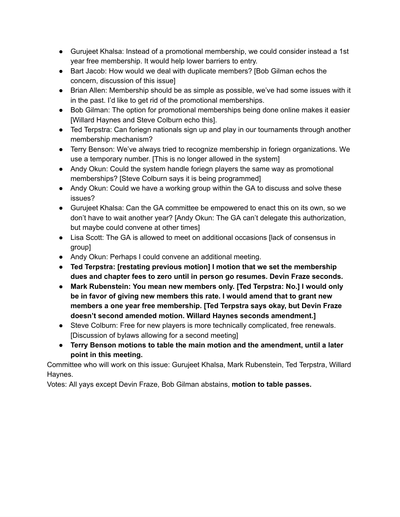- Gurujeet Khalsa: Instead of a promotional membership, we could consider instead a 1st year free membership. It would help lower barriers to entry.
- Bart Jacob: How would we deal with duplicate members? [Bob Gilman echos the concern, discussion of this issue]
- Brian Allen: Membership should be as simple as possible, we've had some issues with it in the past. I'd like to get rid of the promotional memberships.
- Bob Gilman: The option for promotional memberships being done online makes it easier [Willard Haynes and Steve Colburn echo this].
- Ted Terpstra: Can foriegn nationals sign up and play in our tournaments through another membership mechanism?
- Terry Benson: We've always tried to recognize membership in foriegn organizations. We use a temporary number. [This is no longer allowed in the system]
- Andy Okun: Could the system handle foriegn players the same way as promotional memberships? [Steve Colburn says it is being programmed]
- Andy Okun: Could we have a working group within the GA to discuss and solve these issues?
- Gurujeet Khalsa: Can the GA committee be empowered to enact this on its own, so we don't have to wait another year? [Andy Okun: The GA can't delegate this authorization, but maybe could convene at other times]
- Lisa Scott: The GA is allowed to meet on additional occasions [lack of consensus in group]
- Andy Okun: Perhaps I could convene an additional meeting.
- **● Ted Terpstra: [restating previous motion] I motion that we set the membership dues and chapter fees to zero until in person go resumes. Devin Fraze seconds.**
- **● Mark Rubenstein: You mean new members only. [Ted Terpstra: No.] I would only be in favor of giving new members this rate. I would amend that to grant new members a one year free membership. [Ted Terpstra says okay, but Devin Fraze doesn't second amended motion. Willard Haynes seconds amendment.]**
- Steve Colburn: Free for new players is more technically complicated, free renewals. [Discussion of bylaws allowing for a second meeting]
- **● Terry Benson motions to table the main motion and the amendment, until a later point in this meeting.**

Committee who will work on this issue: Gurujeet Khalsa, Mark Rubenstein, Ted Terpstra, Willard Haynes.

Votes: All yays except Devin Fraze, Bob Gilman abstains, **motion to table passes.**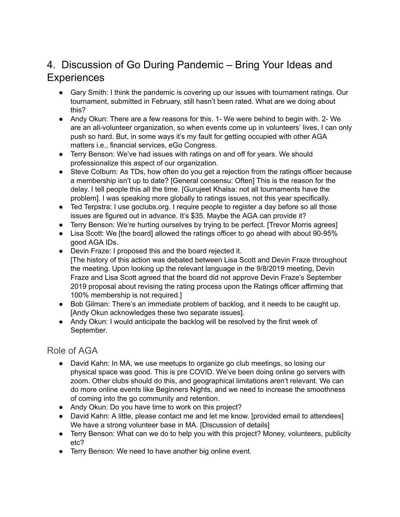## 4. Discussion of Go During Pandemic – Bring Your Ideas and **Experiences**

- Gary Smith: I think the pandemic is covering up our issues with tournament ratings. Our tournament, submitted in February, still hasn't been rated. What are we doing about this?
- Andy Okun: There are a few reasons for this. 1- We were behind to begin with. 2- We are an all-volunteer organization, so when events come up in volunteers' lives, I can only push so hard. But, in some ways it's my fault for getting occupied with other AGA matters i.e., financial services, eGo Congress.
- Terry Benson: We've had issues with ratings on and off for years. We should professionalize this aspect of our organization.
- Steve Colburn: As TDs, how often do you get a rejection from the ratings officer because a membership isn't up to date? [General consensu: Often] This is the reason for the delay. I tell people this all the time. [Gurujeet Khalsa: not all tournaments have the problem]. I was speaking more globally to ratings issues, not this year specifically.
- Ted Terpstra: I use goclubs.org. I require people to register a day before so all those issues are figured out in advance. It's \$35. Maybe the AGA can provide it?
- Terry Benson: We're hurting ourselves by trying to be perfect. [Trevor Morris agrees]
- Lisa Scott: We [the board] allowed the ratings officer to go ahead with about 90-95% good AGA IDs.
- Devin Fraze: I proposed this and the board rejected it. [The history of this action was debated between Lisa Scott and Devin Fraze throughout the meeting. Upon looking up the relevant language in the 9/8/2019 meeting, Devin Fraze and Lisa Scott agreed that the board did not approve Devin Fraze's September 2019 proposal about revising the rating process upon the Ratings officer affirming that 100% membership is not required.]
- Bob Gilman: There's an immediate problem of backlog, and it needs to be caught up. [Andy Okun acknowledges these two separate issues].
- Andy Okun: I would anticipate the backlog will be resolved by the first week of September.

#### Role of AGA

- David Kahn: In MA, we use meetups to organize go club meetings, so losing our physical space was good. This is pre COVID. We've been doing online go servers with zoom. Other clubs should do this, and geographical limitations aren't relevant. We can do more online events like Beginners Nights, and we need to increase the smoothness of coming into the go community and retention.
- Andy Okun: Do you have time to work on this project?
- David Kahn: A little, please contact me and let me know. [provided email to attendees] We have a strong volunteer base in MA. [Discussion of details]
- Terry Benson: What can we do to help you with this project? Money, volunteers, publicity etc?
- Terry Benson: We need to have another big online event.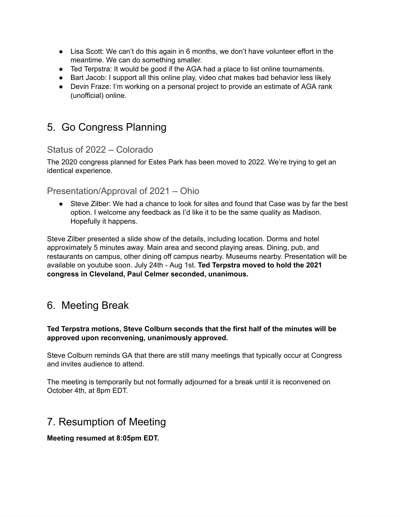- Lisa Scott: We can't do this again in 6 months, we don't have volunteer effort in the meantime. We can do something smaller.
- Ted Terpstra: It would be good if the AGA had a place to list online tournaments.
- Bart Jacob: I support all this online play, video chat makes bad behavior less likely
- Devin Fraze: I'm working on a personal project to provide an estimate of AGA rank (unofficial) online.

## 5. Go Congress Planning

#### Status of 2022 – Colorado

The 2020 congress planned for Estes Park has been moved to 2022. We're trying to get an identical experience.

#### Presentation/Approval of 2021 – Ohio

● Steve Zilber: We had a chance to look for sites and found that Case was by far the best option. I welcome any feedback as I'd like it to be the same quality as Madison. Hopefully it happens.

Steve Zilber presented a slide show of the details, including location. Dorms and hotel approximately 5 minutes away. Main area and second playing areas. Dining, pub, and restaurants on campus, other dining off campus nearby. Museums nearby. Presentation will be available on youtube soon. July 24th - Aug 1st. **Ted Terpstra moved to hold the 2021 congress in Cleveland, Paul Celmer seconded, unanimous.**

## 6. Meeting Break

#### **Ted Terpstra motions, Steve Colburn seconds that the first half of the minutes will be approved upon reconvening, unanimously approved.**

Steve Colburn reminds GA that there are still many meetings that typically occur at Congress and invites audience to attend.

The meeting is temporarily but not formally adjourned for a break until it is reconvened on October 4th, at 8pm EDT.

### 7. Resumption of Meeting

#### **Meeting resumed at 8:05pm EDT.**